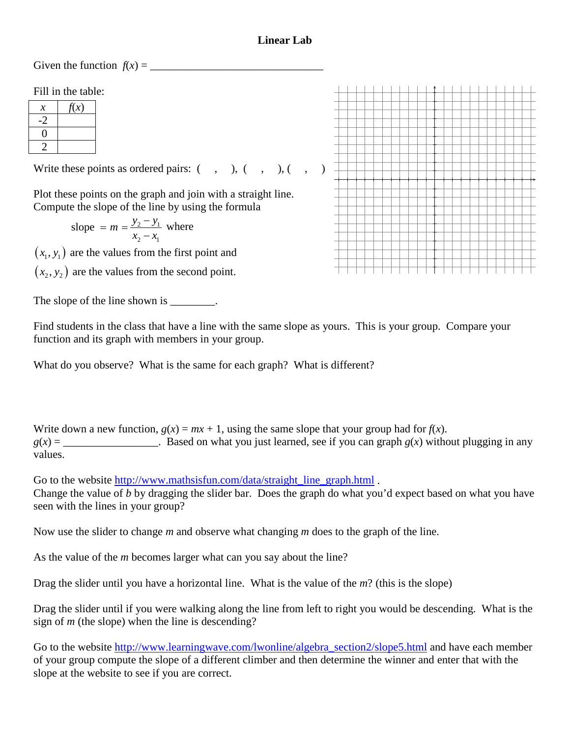## **Linear Lab**

Given the function  $f(x) =$ 

Fill in the table:

| $\chi$ | $\chi(x)$ |
|--------|-----------|
|        |           |
| 1      |           |
|        |           |

Write these points as ordered pairs:  $( , , , ), ( , , , )$ 

Plot these points on the graph and join with a straight line. Compute the slope of the line by using the formula

slope = 
$$
m = \frac{y_2 - y_1}{x_2 - x_1}
$$
 where

 $(x_1, y_1)$  are the values from the first point and

 $(x_2, y_2)$  are the values from the second point.

The slope of the line shown is \_\_\_\_\_\_\_.

Find students in the class that have a line with the same slope as yours. This is your group. Compare your function and its graph with members in your group.

What do you observe? What is the same for each graph? What is different?

Write down a new function,  $g(x) = mx + 1$ , using the same slope that your group had for  $f(x)$ .  $g(x) =$  . Based on what you just learned, see if you can graph  $g(x)$  without plugging in any

values.

Go to the website [http://www.mathsisfun.com/data/straight\\_line\\_graph.html](http://www.mathsisfun.com/data/straight_line_graph.html).

Change the value of *b* by dragging the slider bar. Does the graph do what you'd expect based on what you have seen with the lines in your group?

Now use the slider to change *m* and observe what changing *m* does to the graph of the line.

As the value of the *m* becomes larger what can you say about the line?

Drag the slider until you have a horizontal line. What is the value of the *m*? (this is the slope)

Drag the slider until if you were walking along the line from left to right you would be descending. What is the sign of *m* (the slope) when the line is descending?

Go to the website [http://www.learningwave.com/lwonline/algebra\\_section2/slope5.html](http://www.learningwave.com/lwonline/algebra_section2/slope5.html) and have each member of your group compute the slope of a different climber and then determine the winner and enter that with the slope at the website to see if you are correct.

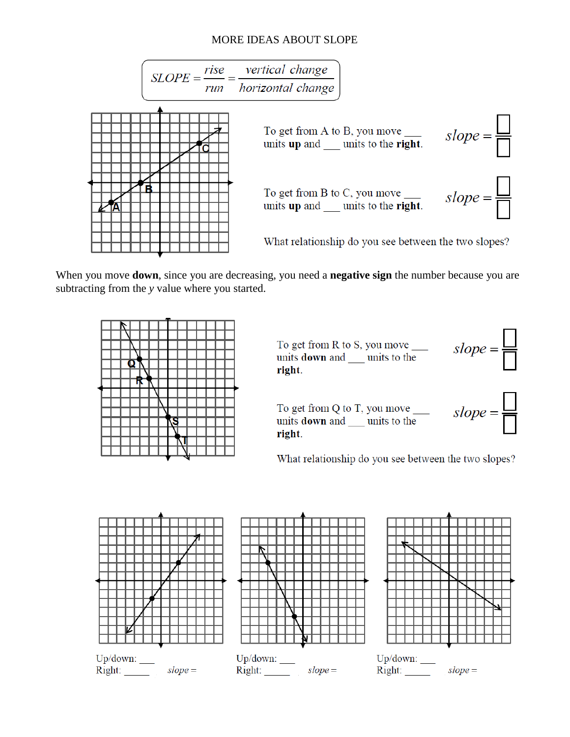## MORE IDEAS ABOUT SLOPE



When you move **down**, since you are decreasing, you need a **negative sign** the number because you are subtracting from the *y* value where you started.



To get from R to S, you move \_\_\_\_\_\_\_\_\_ slope =  $\frac{\Box}{\Box}$ right.



To get from Q to T, you move \_\_\_\_\_\_  $slope = \boxed{\boxed{\phantom{a}}$ <br>units **down** and \_\_\_\_ units to the right.



What relationship do you see between the two slopes?







 $Right:$  $slope =$ 

 $Right:$  $slope =$